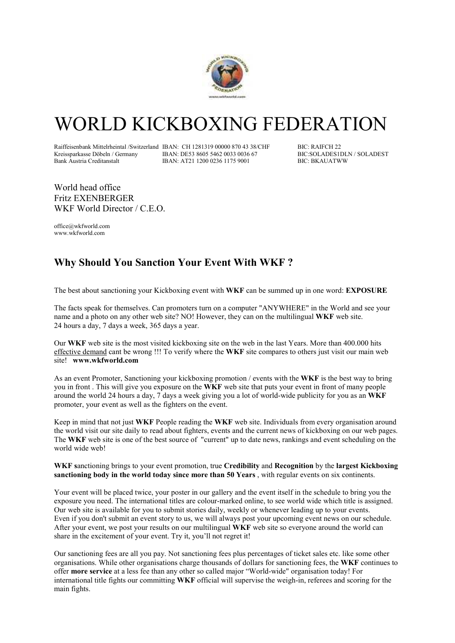

## WORLD KICKBOXING FEDERATION

Raiffeisenbank Mittelrheintal /Switzerland IBAN: CH 1281319 00000 870 43 38/CHF BIC: RAIFCH 22<br>Kreissparkasse Döbeln / Germany IBAN: DE53 8605 5462 0033 0036 67 BIC: SOLADESIDLN / SOLADEST Kreissparkasse Döbeln / Germany IBAN: DE53 8605 5462 0033 0036 67 BIC:SOLADES1DL<br>Bank Austria Creditanstalt IBAN: AT21 1200 0236 1175 9001 BIC: BKAUATWW IBAN: AT21 1200 0236 1175 9001

World head office Fritz EXENBERGER WKF World Director / C.E.O.

office@wkfworld.com www.wkfworld.com

## **Why Should You Sanction Your Event With WKF ?**

The best about sanctioning your Kickboxing event with **WKF** can be summed up in one word: **EXPOSURE**

The facts speak for themselves. Can promoters turn on a computer "ANYWHERE" in the World and see your name and a photo on any other web site? NO! However, they can on the multilingual **WKF** web site. 24 hours a day, 7 days a week, 365 days a year.

Our **WKF** web site is the most visited kickboxing site on the web in the last Years. More than 400.000 hits effective demand cant be wrong !!! To verify where the **WKF** site compares to others just visit our main web site! **www.wkfworld.com**

As an event Promoter, Sanctioning your kickboxing promotion / events with the **WKF** is the best way to bring you in front . This will give you exposure on the **WKF** web site that puts your event in front of many people around the world 24 hours a day, 7 days a week giving you a lot of world-wide publicity for you as an **WKF** promoter, your event as well as the fighters on the event.

Keep in mind that not just **WKF** People reading the **WKF** web site. Individuals from every organisation around the world visit our site daily to read about fighters, events and the current news of kickboxing on our web pages. The **WKF** web site is one of the best source of "current" up to date news, rankings and event scheduling on the world wide web!

**WKF s**anctioning brings to your event promotion, true **Credibility** and **Recognition** by the **largest Kickboxing sanctioning body in the world today since more than 50 Years** , with regular events on six continents.

Your event will be placed twice, your poster in our gallery and the event itself in the schedule to bring you the exposure you need. The international titles are colour-marked online, to see world wide which title is assigned. Our web site is available for you to submit stories daily, weekly or whenever leading up to your events. Even if you don't submit an event story to us, we will always post your upcoming event news on our schedule. After your event, we post your results on our multilingual **WKF** web site so everyone around the world can share in the excitement of your event. Try it, you'll not regret it!

Our sanctioning fees are all you pay. Not sanctioning fees plus percentages of ticket sales etc. like some other organisations. While other organisations charge thousands of dollars for sanctioning fees, the **WKF** continues to offer **more service** at a less fee than any other so called major "World-wide" organisation today! For international title fights our committing **WKF** official will supervise the weigh-in, referees and scoring for the main fights.